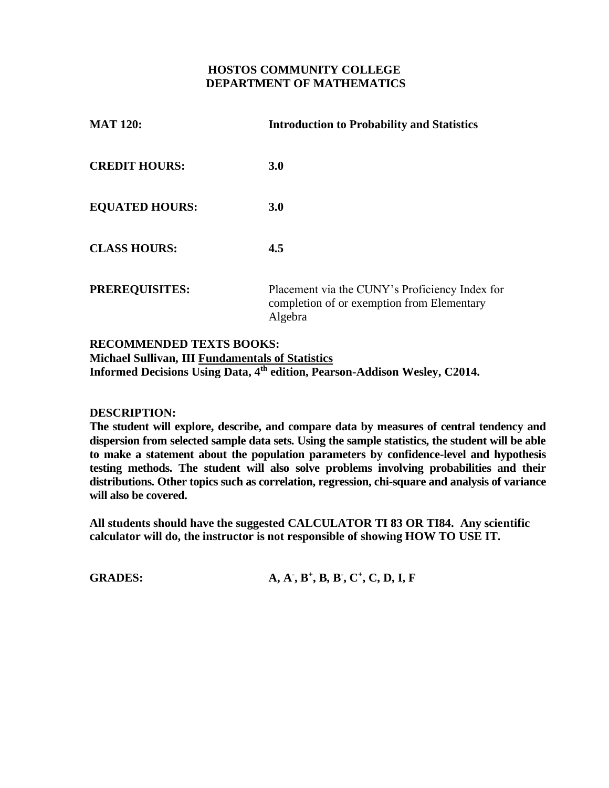#### **HOSTOS COMMUNITY COLLEGE DEPARTMENT OF MATHEMATICS**

| <b>MAT 120:</b>       | <b>Introduction to Probability and Statistics</b>                                                       |
|-----------------------|---------------------------------------------------------------------------------------------------------|
| <b>CREDIT HOURS:</b>  | <b>3.0</b>                                                                                              |
| <b>EQUATED HOURS:</b> | <b>3.0</b>                                                                                              |
| <b>CLASS HOURS:</b>   | 4.5                                                                                                     |
| <b>PREREQUISITES:</b> | Placement via the CUNY's Proficiency Index for<br>completion of or exemption from Elementary<br>Algebra |

#### **RECOMMENDED TEXTS BOOKS: Michael Sullivan, III Fundamentals of Statistics Informed Decisions Using Data, 4th edition, Pearson-Addison Wesley, C2014.**

#### **DESCRIPTION:**

**The student will explore, describe, and compare data by measures of central tendency and dispersion from selected sample data sets. Using the sample statistics, the student will be able to make a statement about the population parameters by confidence-level and hypothesis testing methods. The student will also solve problems involving probabilities and their distributions. Other topics such as correlation, regression, chi-square and analysis of variance will also be covered.**

**All students should have the suggested CALCULATOR TI 83 OR TI84. Any scientific calculator will do, the instructor is not responsible of showing HOW TO USE IT.**

**GRADES:** 

**- , B<sup>+</sup> , B, B - , C + , C, D, I, F**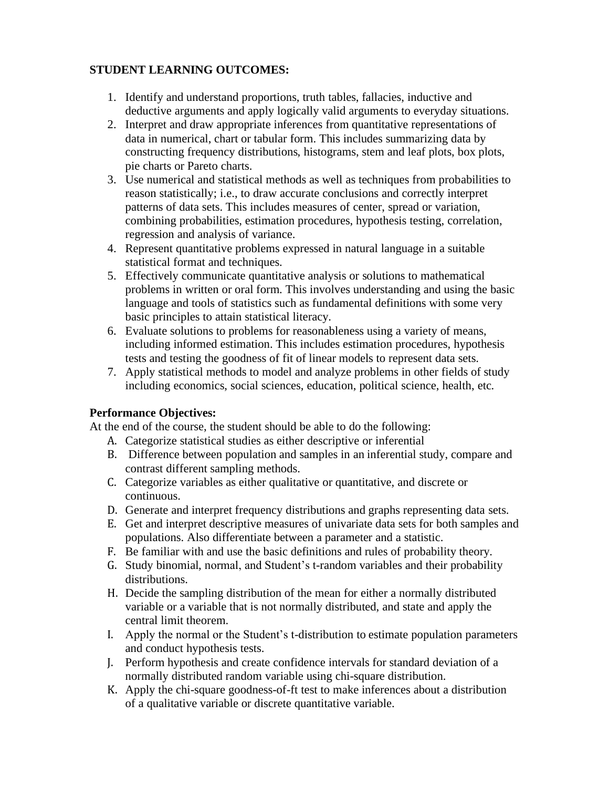## **STUDENT LEARNING OUTCOMES:**

- 1. Identify and understand proportions, truth tables, fallacies, inductive and deductive arguments and apply logically valid arguments to everyday situations.
- 2. Interpret and draw appropriate inferences from quantitative representations of data in numerical, chart or tabular form. This includes summarizing data by constructing frequency distributions, histograms, stem and leaf plots, box plots, pie charts or Pareto charts.
- 3. Use numerical and statistical methods as well as techniques from probabilities to reason statistically; i.e., to draw accurate conclusions and correctly interpret patterns of data sets. This includes measures of center, spread or variation, combining probabilities, estimation procedures, hypothesis testing, correlation, regression and analysis of variance.
- 4. Represent quantitative problems expressed in natural language in a suitable statistical format and techniques.
- 5. Effectively communicate quantitative analysis or solutions to mathematical problems in written or oral form. This involves understanding and using the basic language and tools of statistics such as fundamental definitions with some very basic principles to attain statistical literacy.
- 6. Evaluate solutions to problems for reasonableness using a variety of means, including informed estimation. This includes estimation procedures, hypothesis tests and testing the goodness of fit of linear models to represent data sets.
- 7. Apply statistical methods to model and analyze problems in other fields of study including economics, social sciences, education, political science, health, etc.

## **Performance Objectives:**

At the end of the course, the student should be able to do the following:

- A. Categorize statistical studies as either descriptive or inferential
- B. Difference between population and samples in an inferential study, compare and contrast different sampling methods.
- C. Categorize variables as either qualitative or quantitative, and discrete or continuous.
- D. Generate and interpret frequency distributions and graphs representing data sets.
- E. Get and interpret descriptive measures of univariate data sets for both samples and populations. Also differentiate between a parameter and a statistic.
- F. Be familiar with and use the basic definitions and rules of probability theory.
- G. Study binomial, normal, and Student's t-random variables and their probability distributions.
- H. Decide the sampling distribution of the mean for either a normally distributed variable or a variable that is not normally distributed, and state and apply the central limit theorem.
- I. Apply the normal or the Student's t-distribution to estimate population parameters and conduct hypothesis tests.
- J. Perform hypothesis and create confidence intervals for standard deviation of a normally distributed random variable using chi-square distribution.
- K. Apply the chi-square goodness-of-ft test to make inferences about a distribution of a qualitative variable or discrete quantitative variable.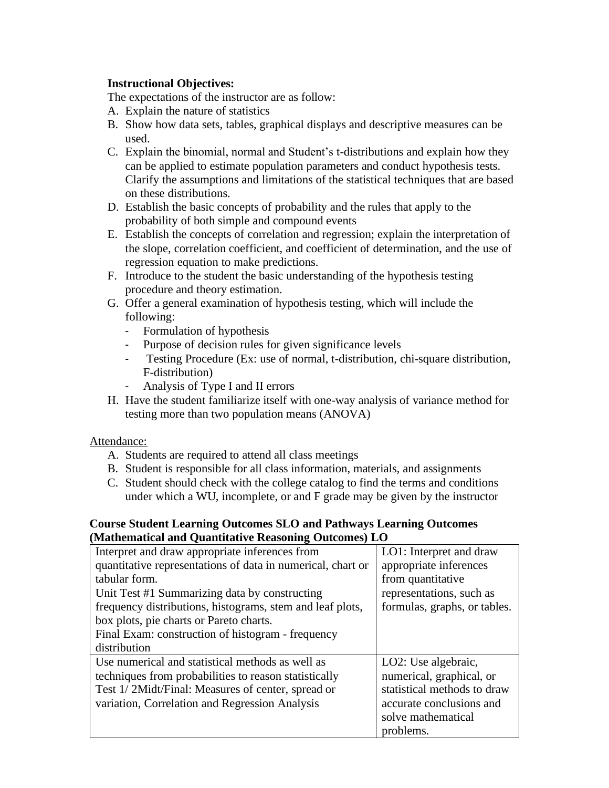## **Instructional Objectives:**

The expectations of the instructor are as follow:

- A. Explain the nature of statistics
- B. Show how data sets, tables, graphical displays and descriptive measures can be used.
- C. Explain the binomial, normal and Student's t-distributions and explain how they can be applied to estimate population parameters and conduct hypothesis tests. Clarify the assumptions and limitations of the statistical techniques that are based on these distributions.
- D. Establish the basic concepts of probability and the rules that apply to the probability of both simple and compound events
- E. Establish the concepts of correlation and regression; explain the interpretation of the slope, correlation coefficient, and coefficient of determination, and the use of regression equation to make predictions.
- F. Introduce to the student the basic understanding of the hypothesis testing procedure and theory estimation.
- G. Offer a general examination of hypothesis testing, which will include the following:
	- Formulation of hypothesis
	- Purpose of decision rules for given significance levels
	- Testing Procedure (Ex: use of normal, t-distribution, chi-square distribution, F-distribution)
	- Analysis of Type I and II errors
- H. Have the student familiarize itself with one-way analysis of variance method for testing more than two population means (ANOVA)

## Attendance:

- A. Students are required to attend all class meetings
- B. Student is responsible for all class information, materials, and assignments
- C. Student should check with the college catalog to find the terms and conditions under which a WU, incomplete, or and F grade may be given by the instructor

#### **Course Student Learning Outcomes SLO and Pathways Learning Outcomes (Mathematical and Quantitative Reasoning Outcomes) LO**

| Interpret and draw appropriate inferences from              | LO1: Interpret and draw      |  |  |
|-------------------------------------------------------------|------------------------------|--|--|
| quantitative representations of data in numerical, chart or | appropriate inferences       |  |  |
| tabular form.                                               | from quantitative            |  |  |
| Unit Test #1 Summarizing data by constructing               | representations, such as     |  |  |
| frequency distributions, histograms, stem and leaf plots,   | formulas, graphs, or tables. |  |  |
| box plots, pie charts or Pareto charts.                     |                              |  |  |
| Final Exam: construction of histogram - frequency           |                              |  |  |
| distribution                                                |                              |  |  |
| Use numerical and statistical methods as well as            | LO2: Use algebraic,          |  |  |
| techniques from probabilities to reason statistically       | numerical, graphical, or     |  |  |
| Test 1/2Midt/Final: Measures of center, spread or           | statistical methods to draw  |  |  |
| variation, Correlation and Regression Analysis              | accurate conclusions and     |  |  |
|                                                             | solve mathematical           |  |  |
|                                                             | problems.                    |  |  |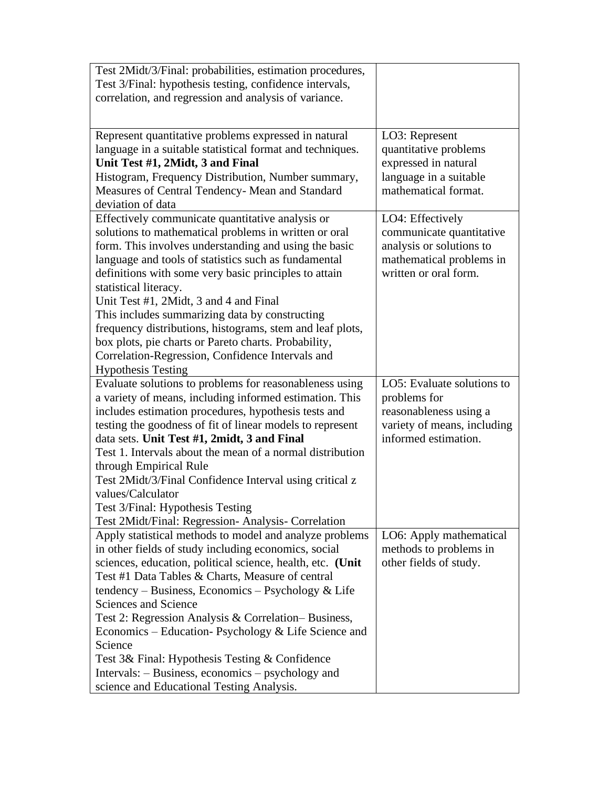| Test 2Midt/3/Final: probabilities, estimation procedures,                                                          |                             |
|--------------------------------------------------------------------------------------------------------------------|-----------------------------|
| Test 3/Final: hypothesis testing, confidence intervals,                                                            |                             |
| correlation, and regression and analysis of variance.                                                              |                             |
|                                                                                                                    |                             |
|                                                                                                                    |                             |
| Represent quantitative problems expressed in natural                                                               | LO3: Represent              |
| language in a suitable statistical format and techniques.                                                          | quantitative problems       |
| Unit Test #1, 2Midt, 3 and Final                                                                                   | expressed in natural        |
| Histogram, Frequency Distribution, Number summary,                                                                 | language in a suitable      |
| Measures of Central Tendency- Mean and Standard                                                                    | mathematical format.        |
| deviation of data                                                                                                  |                             |
| Effectively communicate quantitative analysis or                                                                   | LO4: Effectively            |
| solutions to mathematical problems in written or oral                                                              | communicate quantitative    |
| form. This involves understanding and using the basic                                                              | analysis or solutions to    |
| language and tools of statistics such as fundamental                                                               | mathematical problems in    |
| definitions with some very basic principles to attain                                                              | written or oral form.       |
| statistical literacy.                                                                                              |                             |
| Unit Test #1, 2Midt, 3 and 4 and Final                                                                             |                             |
| This includes summarizing data by constructing                                                                     |                             |
| frequency distributions, histograms, stem and leaf plots,                                                          |                             |
| box plots, pie charts or Pareto charts. Probability,                                                               |                             |
| Correlation-Regression, Confidence Intervals and                                                                   |                             |
| <b>Hypothesis Testing</b>                                                                                          |                             |
|                                                                                                                    |                             |
|                                                                                                                    | LO5: Evaluate solutions to  |
| Evaluate solutions to problems for reasonableness using<br>a variety of means, including informed estimation. This | problems for                |
| includes estimation procedures, hypothesis tests and                                                               | reasonableness using a      |
| testing the goodness of fit of linear models to represent                                                          | variety of means, including |
| data sets. Unit Test #1, 2midt, 3 and Final                                                                        | informed estimation.        |
| Test 1. Intervals about the mean of a normal distribution                                                          |                             |
| through Empirical Rule                                                                                             |                             |
| Test 2Midt/3/Final Confidence Interval using critical z                                                            |                             |
| values/Calculator                                                                                                  |                             |
| Test 3/Final: Hypothesis Testing                                                                                   |                             |
| Test 2Midt/Final: Regression- Analysis- Correlation                                                                |                             |
| Apply statistical methods to model and analyze problems                                                            | LO6: Apply mathematical     |
| in other fields of study including economics, social                                                               | methods to problems in      |
| sciences, education, political science, health, etc. (Unit                                                         | other fields of study.      |
| Test #1 Data Tables & Charts, Measure of central                                                                   |                             |
| tendency – Business, Economics – Psychology & Life                                                                 |                             |
| Sciences and Science                                                                                               |                             |
| Test 2: Regression Analysis & Correlation–Business,                                                                |                             |
| Economics – Education- Psychology & Life Science and                                                               |                             |
| Science                                                                                                            |                             |
| Test 3& Final: Hypothesis Testing & Confidence                                                                     |                             |
| Intervals: – Business, economics – psychology and                                                                  |                             |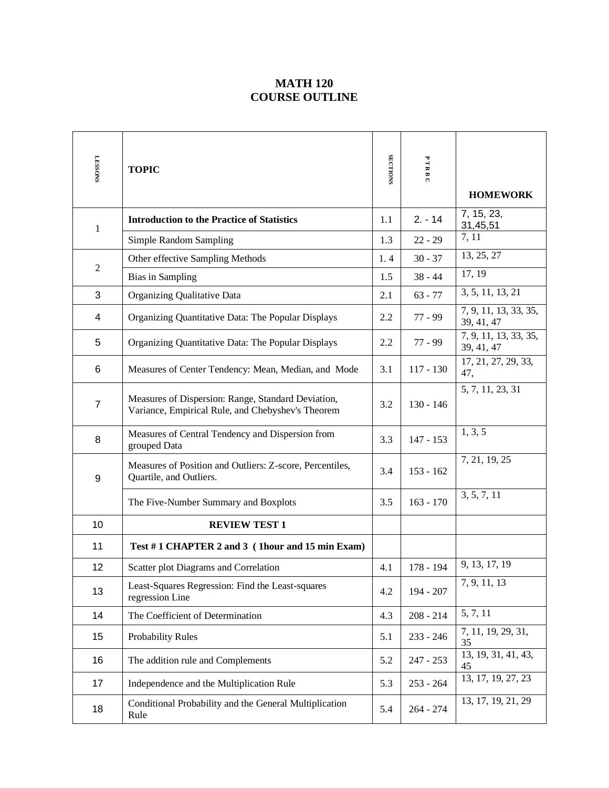## **MATH 120 COURSE OUTLINE**

| <b>LESSONS</b> | <b>TOPIC</b>                                                                                            | <b>SECTIONS</b> | PTRB<br>$\Omega$ | <b>HOMEWORK</b>                     |
|----------------|---------------------------------------------------------------------------------------------------------|-----------------|------------------|-------------------------------------|
| $\mathbf{1}$   | <b>Introduction to the Practice of Statistics</b>                                                       | 1.1             | $2. - 14$        | 7, 15, 23,<br>31,45,51              |
|                | Simple Random Sampling                                                                                  | 1.3             | $22 - 29$        | 7, 11                               |
|                | Other effective Sampling Methods                                                                        | 1.4             | $30 - 37$        | 13, 25, 27                          |
| $\mathfrak{2}$ | <b>Bias in Sampling</b>                                                                                 | 1.5             | $38 - 44$        | 17, 19                              |
| 3              | Organizing Qualitative Data                                                                             | 2.1             | $63 - 77$        | 3, 5, 11, 13, 21                    |
| 4              | Organizing Quantitative Data: The Popular Displays                                                      | 2.2             | $77 - 99$        | 7, 9, 11, 13, 33, 35,<br>39, 41, 47 |
| 5              | Organizing Quantitative Data: The Popular Displays                                                      | 2.2             | $77 - 99$        | 7, 9, 11, 13, 33, 35,<br>39, 41, 47 |
| 6              | Measures of Center Tendency: Mean, Median, and Mode                                                     | 3.1             | $117 - 130$      | 17, 21, 27, 29, 33,<br>47,          |
| $\overline{7}$ | Measures of Dispersion: Range, Standard Deviation,<br>Variance, Empirical Rule, and Chebyshev's Theorem | 3.2             | $130 - 146$      | 5, 7, 11, 23, 31                    |
| 8              | Measures of Central Tendency and Dispersion from<br>grouped Data                                        | 3.3             | $147 - 153$      | 1, 3, 5                             |
| 9              | Measures of Position and Outliers: Z-score, Percentiles,<br>Quartile, and Outliers.                     | 3.4             | $153 - 162$      | 7, 21, 19, 25                       |
|                | The Five-Number Summary and Boxplots                                                                    | 3.5             | $163 - 170$      | 3, 5, 7, 11                         |
| 10             | <b>REVIEW TEST 1</b>                                                                                    |                 |                  |                                     |
| 11             | Test #1 CHAPTER 2 and 3 (1hour and 15 min Exam)                                                         |                 |                  |                                     |
| 12             | Scatter plot Diagrams and Correlation                                                                   | 4.1             | 178 - 194        | 9, 13, 17, 19                       |
| 13             | Least-Squares Regression: Find the Least-squares<br>regression Line                                     | 4.2             | 194 - 207        | 7, 9, 11, 13                        |
| 14             | The Coefficient of Determination                                                                        | 4.3             | $208 - 214$      | 5, 7, 11                            |
| 15             | <b>Probability Rules</b>                                                                                | 5.1             | $233 - 246$      | 7, 11, 19, 29, 31,<br>35            |
| 16             | The addition rule and Complements                                                                       | 5.2             | $247 - 253$      | 13, 19, 31, 41, 43,<br>45           |
| 17             | Independence and the Multiplication Rule                                                                | 5.3             | $253 - 264$      | 13, 17, 19, 27, 23                  |
| 18             | Conditional Probability and the General Multiplication<br>Rule                                          | 5.4             | $264 - 274$      | 13, 17, 19, 21, 29                  |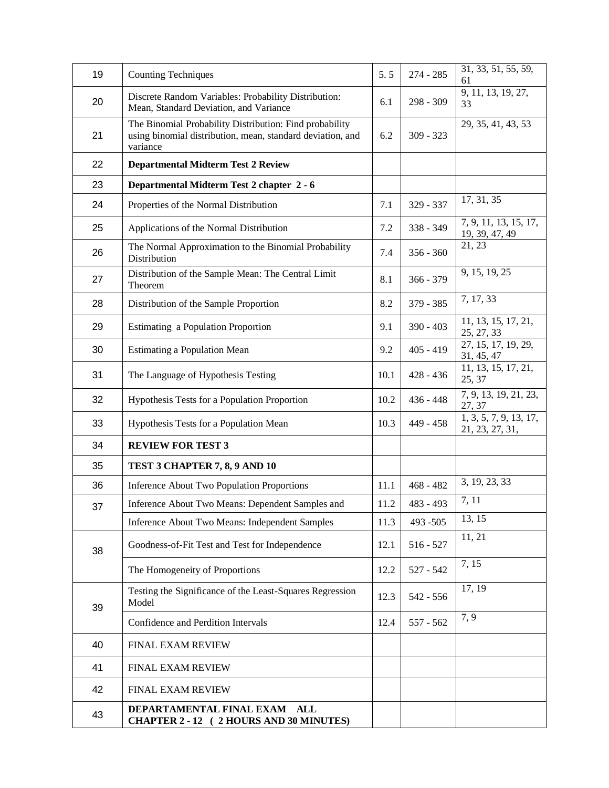| 19 | <b>Counting Techniques</b>                                                                                                        | 5.5  | $274 - 285$ | 31, 33, 51, 55, 59,<br>61                 |
|----|-----------------------------------------------------------------------------------------------------------------------------------|------|-------------|-------------------------------------------|
| 20 | Discrete Random Variables: Probability Distribution:<br>Mean, Standard Deviation, and Variance                                    | 6.1  | 298 - 309   | 9, 11, 13, 19, 27,<br>33                  |
| 21 | The Binomial Probability Distribution: Find probability<br>using binomial distribution, mean, standard deviation, and<br>variance | 6.2  | $309 - 323$ | 29, 35, 41, 43, 53                        |
| 22 | <b>Departmental Midterm Test 2 Review</b>                                                                                         |      |             |                                           |
| 23 | Departmental Midterm Test 2 chapter 2 - 6                                                                                         |      |             |                                           |
| 24 | Properties of the Normal Distribution                                                                                             | 7.1  | 329 - 337   | 17, 31, 35                                |
| 25 | Applications of the Normal Distribution                                                                                           | 7.2  | 338 - 349   | 7, 9, 11, 13, 15, 17,<br>19, 39, 47, 49   |
| 26 | The Normal Approximation to the Binomial Probability<br>Distribution                                                              | 7.4  | $356 - 360$ | 21, 23                                    |
| 27 | Distribution of the Sample Mean: The Central Limit<br>Theorem                                                                     | 8.1  | $366 - 379$ | 9, 15, 19, 25                             |
| 28 | Distribution of the Sample Proportion                                                                                             | 8.2  | 379 - 385   | 7, 17, 33                                 |
| 29 | Estimating a Population Proportion                                                                                                | 9.1  | $390 - 403$ | 11, 13, 15, 17, 21,<br>25, 27, 33         |
| 30 | <b>Estimating a Population Mean</b>                                                                                               | 9.2  | $405 - 419$ | 27, 15, 17, 19, 29,<br>31, 45, 47         |
| 31 | The Language of Hypothesis Testing                                                                                                | 10.1 | 428 - 436   | 11, 13, 15, 17, 21,<br>25, 37             |
| 32 | Hypothesis Tests for a Population Proportion                                                                                      | 10.2 | $436 - 448$ | 7, 9, 13, 19, 21, 23,<br>27, 37           |
| 33 | Hypothesis Tests for a Population Mean                                                                                            | 10.3 | 449 - 458   | 1, 3, 5, 7, 9, 13, 17,<br>21, 23, 27, 31, |
| 34 | <b>REVIEW FOR TEST 3</b>                                                                                                          |      |             |                                           |
| 35 | TEST 3 CHAPTER 7, 8, 9 AND 10                                                                                                     |      |             |                                           |
| 36 | <b>Inference About Two Population Proportions</b>                                                                                 | 11.1 | $468 - 482$ | 3, 19, 23, 33                             |
| 37 | Inference About Two Means: Dependent Samples and                                                                                  | 11.2 | 483 - 493   | 7, 11                                     |
|    | Inference About Two Means: Independent Samples                                                                                    | 11.3 | 493 - 505   | 13, 15                                    |
| 38 | Goodness-of-Fit Test and Test for Independence                                                                                    | 12.1 | $516 - 527$ | 11, 21                                    |
|    | The Homogeneity of Proportions                                                                                                    | 12.2 | $527 - 542$ | 7, 15                                     |
| 39 | Testing the Significance of the Least-Squares Regression<br>Model                                                                 | 12.3 | 542 - 556   | 17, 19                                    |
|    | Confidence and Perdition Intervals                                                                                                | 12.4 | 557 - 562   | 7, 9                                      |
| 40 | FINAL EXAM REVIEW                                                                                                                 |      |             |                                           |
| 41 | <b>FINAL EXAM REVIEW</b>                                                                                                          |      |             |                                           |
| 42 | <b>FINAL EXAM REVIEW</b>                                                                                                          |      |             |                                           |
| 43 | DEPARTAMENTAL FINAL EXAM ALL<br>CHAPTER 2 - 12 (2 HOURS AND 30 MINUTES)                                                           |      |             |                                           |